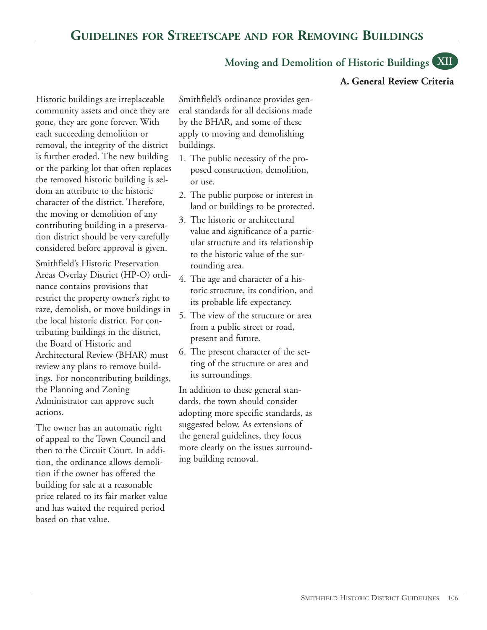# **Moving and Demolition of Historic Buildings XII**

#### **A. General Review Criteria**

Historic buildings are irreplaceable community assets and once they are gone, they are gone forever. With each succeeding demolition or removal, the integrity of the district is further eroded. The new building or the parking lot that often replaces the removed historic building is seldom an attribute to the historic character of the district. Therefore, the moving or demolition of any contributing building in a preservation district should be very carefully considered before approval is given.

Smithfield's Historic Preservation Areas Overlay District (HP-O) ordinance contains provisions that restrict the property owner's right to raze, demolish, or move buildings in the local historic district. For contributing buildings in the district, the Board of Historic and Architectural Review (BHAR) must review any plans to remove buildings. For noncontributing buildings, the Planning and Zoning Administrator can approve such actions.

The owner has an automatic right of appeal to the Town Council and then to the Circuit Court. In addition, the ordinance allows demolition if the owner has offered the building for sale at a reasonable price related to its fair market value and has waited the required period based on that value.

Smithfield's ordinance provides general standards for all decisions made by the BHAR, and some of these apply to moving and demolishing buildings.

- 1. The public necessity of the proposed construction, demolition, or use.
- 2. The public purpose or interest in land or buildings to be protected.
- 3. The historic or architectural value and significance of a particular structure and its relationship to the historic value of the surrounding area.
- 4. The age and character of a historic structure, its condition, and its probable life expectancy.
- 5. The view of the structure or area from a public street or road, present and future.
- 6. The present character of the setting of the structure or area and its surroundings.

In addition to these general standards, the town should consider adopting more specific standards, as suggested below. As extensions of the general guidelines, they focus more clearly on the issues surrounding building removal.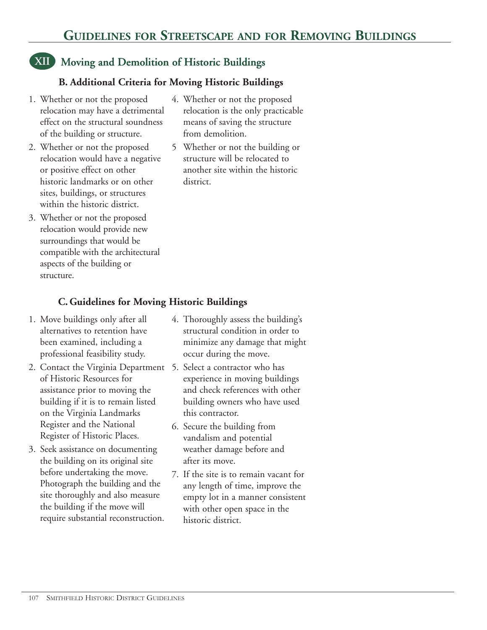# **XII Moving and Demolition of Historic Buildings**

## **B. Additional Criteria for Moving Historic Buildings**

- 1. Whether or not the proposed relocation may have a detrimental effect on the structural soundness of the building or structure.
- 2. Whether or not the proposed relocation would have a negative or positive effect on other historic landmarks or on other sites, buildings, or structures within the historic district.
- 3. Whether or not the proposed relocation would provide new surroundings that would be compatible with the architectural aspects of the building or structure.
- 4. Whether or not the proposed relocation is the only practicable means of saving the structure from demolition.
- 5 Whether or not the building or structure will be relocated to another site within the historic district.

## **C. Guidelines for Moving Historic Buildings**

- 1. Move buildings only after all alternatives to retention have been examined, including a professional feasibility study.
- 2. Contact the Virginia Department 5. Select a contractor who has of Historic Resources for assistance prior to moving the building if it is to remain listed on the Virginia Landmarks Register and the National Register of Historic Places.
- 3. Seek assistance on documenting the building on its original site before undertaking the move. Photograph the building and the site thoroughly and also measure the building if the move will require substantial reconstruction.
- 4. Thoroughly assess the building's structural condition in order to minimize any damage that might occur during the move.
- experience in moving buildings and check references with other building owners who have used this contractor.
- 6. Secure the building from vandalism and potential weather damage before and after its move.
- 7. If the site is to remain vacant for any length of time, improve the empty lot in a manner consistent with other open space in the historic district.